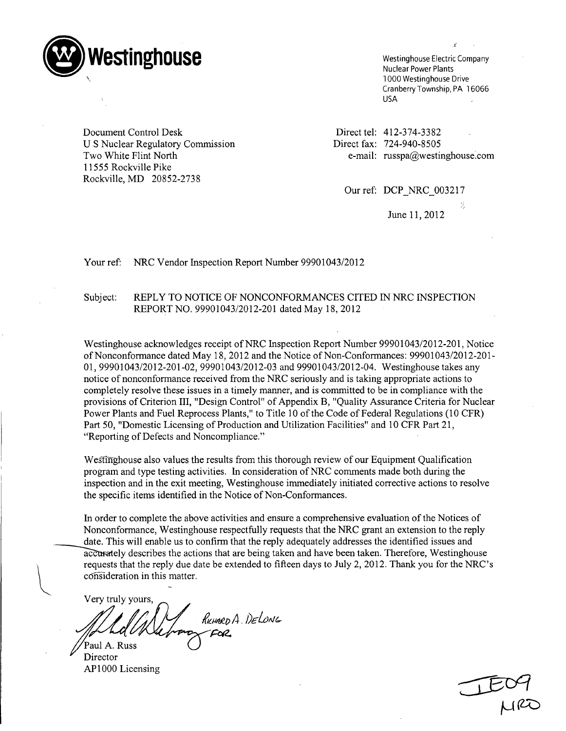

Nuclear Power Plants 1000 Westinghouse Drive Cranberry Township, PA 16066 USA

Document Control Desk U S Nuclear Regulatory Commission Two White Flint North 11555 Rockville Pike Rockville, MD 20852-2738

Direct tel: 412-374-338 Direct fax: 724-940-850 e-mail: russpa@westinghouse.com

Our ref: DCP NRC 003217

June 11, 2012

Your ref: NRC Vendor Inspection Report Number 99901043/2012

## Subject: REPLY TO NOTICE OF NONCONFORMANCES CITED IN NRC INSPECTION REPORT NO. 99901043/2012-201 dated May 18, 2012

Westinghouse acknowledges receipt of NRC Inspection Report Number 99901043/2012-201, Notice of Nonconformance dated May 18, 2012 and the Notice of Non-Conformances: 99901043/2012-201 - 01, 99901043/2012-201-02, 99901043/2012-03 and 99901043/2012-04. Westinghouse takes any notice of nonconformance received from the NRC seriously and is taking appropriate actions to completely resolve these issues in a timely manner, and is committed to be in compliance with the provisions of Criterion III, "Design Control" of Appendix B, "Quality Assurance Criteria for Nuclear Power Plants and Fuel Reprocess Plants," to Title 10 of the Code of Federal Regulations (10 CFR) Part 50, "Domestic Licensing of Production and Utilization Facilities" and 10 CFR Part 21, "Reporting of Defects and Noncompliance."

Westinghouse also values the results from this thorough review of our Equipment Qualification program and type testing activities. In consideration of NRC comments made both during the inspection and in the exit meeting, Westinghouse immediately initiated corrective actions to resolve the specific items identified in the Notice of Non-Conformances.

In order to complete the above activities and ensure a comprehensive evaluation of the Notices of Nonconformance, Westinghouse respectfully requests that the NRC grant an extension to the reply date. This will enable us to confirm that the reply adequately addresses the identified issues and accurately describes the actions that are being taken and have been taken. Therefore, Westinghouse requests that the reply due date be extended to fifteen days to July 2, 2012. Thank you for the NRC's consideration in this matter.

Very truly yours, RILMARDA DELONG FOR

Paul A. Russ Director AP1000 Licensing